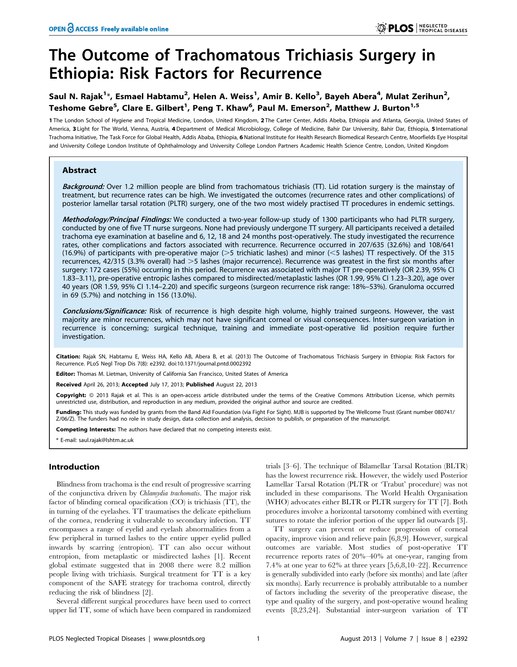# The Outcome of Trachomatous Trichiasis Surgery in Ethiopia: Risk Factors for Recurrence

# Saul N. Rajak<sup>1</sup>\*, Esmael Habtamu<sup>2</sup>, Helen A. Weiss<sup>1</sup>, Amir B. Kello<sup>3</sup>, Bayeh Abera<sup>4</sup>, Mulat Zerihun<sup>2</sup>, Teshome Gebre<sup>5</sup>, Clare E. Gilbert<sup>1</sup>, Peng T. Khaw<sup>6</sup>, Paul M. Emerson<sup>2</sup>, Matthew J. Burton<sup>1,5</sup>

1 The London School of Hygiene and Tropical Medicine, London, United Kingdom, 2 The Carter Center, Addis Abeba, Ethiopia and Atlanta, Georgia, United States of America, 3 Light for The World, Vienna, Austria, 4 Department of Medical Microbiology, College of Medicine, Bahir Dar University, Bahir Dar, Ethiopia, 5 International Trachoma Initiative, The Task Force for Global Health, Addis Ababa, Ethiopia, 6 National Institute for Health Research Biomedical Research Centre, Moorfields Eye Hospital and University College London Institute of Ophthalmology and University College London Partners Academic Health Science Centre, London, United Kingdom

## Abstract

Background: Over 1.2 million people are blind from trachomatous trichiasis (TT). Lid rotation surgery is the mainstay of treatment, but recurrence rates can be high. We investigated the outcomes (recurrence rates and other complications) of posterior lamellar tarsal rotation (PLTR) surgery, one of the two most widely practised TT procedures in endemic settings.

Methodology/Principal Findings: We conducted a two-year follow-up study of 1300 participants who had PLTR surgery, conducted by one of five TT nurse surgeons. None had previously undergone TT surgery. All participants received a detailed trachoma eye examination at baseline and 6, 12, 18 and 24 months post-operatively. The study investigated the recurrence rates, other complications and factors associated with recurrence. Recurrence occurred in 207/635 (32.6%) and 108/641 (16.9%) of participants with pre-operative major ( $>5$  trichiatic lashes) and minor ( $<$ 5 lashes) TT respectively. Of the 315 recurrences, 42/315 (3.3% overall) had >5 lashes (major recurrence). Recurrence was greatest in the first six months after surgery: 172 cases (55%) occurring in this period. Recurrence was associated with major TT pre-operatively (OR 2.39, 95% CI 1.83–3.11), pre-operative entropic lashes compared to misdirected/metaplastic lashes (OR 1.99, 95% CI 1.23–3.20), age over 40 years (OR 1.59, 95% CI 1.14–2.20) and specific surgeons (surgeon recurrence risk range: 18%–53%). Granuloma occurred in 69 (5.7%) and notching in 156 (13.0%).

Conclusions/Significance: Risk of recurrence is high despite high volume, highly trained surgeons. However, the vast majority are minor recurrences, which may not have significant corneal or visual consequences. Inter-surgeon variation in recurrence is concerning; surgical technique, training and immediate post-operative lid position require further investigation.

Citation: Rajak SN, Habtamu E, Weiss HA, Kello AB, Abera B, et al. (2013) The Outcome of Trachomatous Trichiasis Surgery in Ethiopia: Risk Factors for Recurrence. PLoS Negl Trop Dis 7(8): e2392. doi:10.1371/journal.pntd.0002392

Editor: Thomas M. Lietman, University of California San Francisco, United States of America

Received April 26, 2013; Accepted July 17, 2013; Published August 22, 2013

Copyright: © 2013 Rajak et al. This is an open-access article distributed under the terms of the Creative Commons Attribution License, which permits unrestricted use, distribution, and reproduction in any medium, provided the original author and source are credited.

Funding: This study was funded by grants from the Band Aid Foundation (via Fight For Sight). MJB is supported by The Wellcome Trust (Grant number 080741/ Z/06/Z). The funders had no role in study design, data collection and analysis, decision to publish, or preparation of the manuscript.

Competing Interests: The authors have declared that no competing interests exist.

\* E-mail: saul.rajak@lshtm.ac.uk

## Introduction

Blindness from trachoma is the end result of progressive scarring of the conjunctiva driven by Chlamydia trachomatis. The major risk factor of blinding corneal opacification (CO) is trichiasis (TT), the in turning of the eyelashes. TT traumatises the delicate epithelium of the cornea, rendering it vulnerable to secondary infection. TT encompasses a range of eyelid and eyelash abnormalities from a few peripheral in turned lashes to the entire upper eyelid pulled inwards by scarring (entropion). TT can also occur without entropion, from metaplastic or misdirected lashes [1]. Recent global estimate suggested that in 2008 there were 8.2 million people living with trichiasis. Surgical treatment for TT is a key component of the SAFE strategy for trachoma control, directly reducing the risk of blindness [2].

Several different surgical procedures have been used to correct upper lid TT, some of which have been compared in randomized

trials [3–6]. The technique of Bilamellar Tarsal Rotation (BLTR) has the lowest recurrence risk. However, the widely used Posterior Lamellar Tarsal Rotation (PLTR or 'Trabut' procedure) was not included in these comparisons. The World Health Organisation (WHO) advocates either BLTR or PLTR surgery for TT [7]. Both procedures involve a horizontal tarsotomy combined with everting sutures to rotate the inferior portion of the upper lid outwards [3].

TT surgery can prevent or reduce progression of corneal opacity, improve vision and relieve pain [6,8,9]. However, surgical outcomes are variable. Most studies of post-operative TT recurrence reports rates of 20%–40% at one-year, ranging from 7.4% at one year to 62% at three years [5,6,8,10–22]. Recurrence is generally subdivided into early (before six months) and late (after six months). Early recurrence is probably attributable to a number of factors including the severity of the preoperative disease, the type and quality of the surgery, and post-operative wound healing events [8,23,24]. Substantial inter-surgeon variation of TT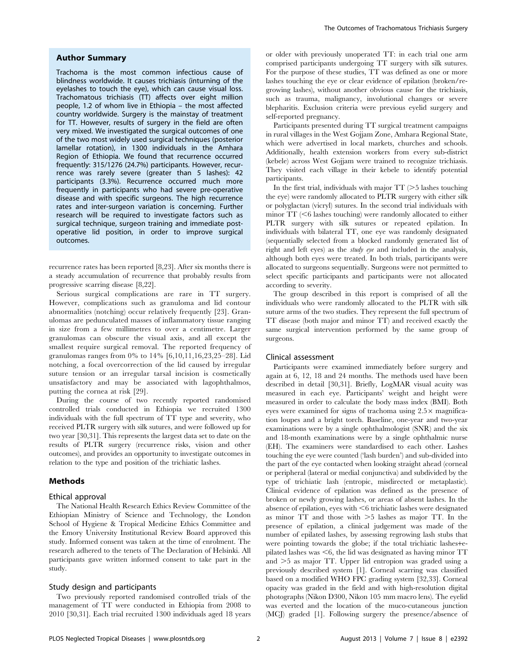#### Author Summary

Trachoma is the most common infectious cause of blindness worldwide. It causes trichiasis (inturning of the eyelashes to touch the eye), which can cause visual loss. Trachomatous trichiasis (TT) affects over eight million people, 1.2 of whom live in Ethiopia – the most affected country worldwide. Surgery is the mainstay of treatment for TT. However, results of surgery in the field are often very mixed. We investigated the surgical outcomes of one of the two most widely used surgical techniques (posterior lamellar rotation), in 1300 individuals in the Amhara Region of Ethiopia. We found that recurrence occurred frequently: 315/1276 (24.7%) participants. However, recurrence was rarely severe (greater than 5 lashes): 42 participants (3.3%). Recurrence occurred much more frequently in participants who had severe pre-operative disease and with specific surgeons. The high recurrence rates and inter-surgeon variation is concerning. Further research will be required to investigate factors such as surgical technique, surgeon training and immediate postoperative lid position, in order to improve surgical outcomes.

recurrence rates has been reported [8,23]. After six months there is a steady accumulation of recurrence that probably results from progressive scarring disease [8,22].

Serious surgical complications are rare in TT surgery. However, complications such as granuloma and lid contour abnormalities (notching) occur relatively frequently [23]. Granulomas are pedunculated masses of inflammatory tissue ranging in size from a few millimetres to over a centimetre. Larger granulomas can obscure the visual axis, and all except the smallest require surgical removal. The reported frequency of granulomas ranges from 0% to 14% [6,10,11,16,23,25–28]. Lid notching, a focal overcorrection of the lid caused by irregular suture tension or an irregular tarsal incision is cosmetically unsatisfactory and may be associated with lagophthalmos, putting the cornea at risk [29].

During the course of two recently reported randomised controlled trials conducted in Ethiopia we recruited 1300 individuals with the full spectrum of TT type and severity, who received PLTR surgery with silk sutures, and were followed up for two year [30,31]. This represents the largest data set to date on the results of PLTR surgery (recurrence risks, vision and other outcomes), and provides an opportunity to investigate outcomes in relation to the type and position of the trichiatic lashes.

#### Methods

#### Ethical approval

The National Health Research Ethics Review Committee of the Ethiopian Ministry of Science and Technology, the London School of Hygiene & Tropical Medicine Ethics Committee and the Emory University Institutional Review Board approved this study. Informed consent was taken at the time of enrolment. The research adhered to the tenets of The Declaration of Helsinki. All participants gave written informed consent to take part in the study.

#### Study design and participants

Two previously reported randomised controlled trials of the management of TT were conducted in Ethiopia from 2008 to 2010 [30,31]. Each trial recruited 1300 individuals aged 18 years or older with previously unoperated TT: in each trial one arm comprised participants undergoing TT surgery with silk sutures. For the purpose of these studies, TT was defined as one or more lashes touching the eye or clear evidence of epilation (broken/regrowing lashes), without another obvious cause for the trichiasis, such as trauma, malignancy, involutional changes or severe blepharitis. Exclusion criteria were previous eyelid surgery and self-reported pregnancy.

Participants presented during TT surgical treatment campaigns in rural villages in the West Gojjam Zone, Amhara Regional State, which were advertised in local markets, churches and schools. Additionally, health extension workers from every sub-district (kebele) across West Gojjam were trained to recognize trichiasis. They visited each village in their kebele to identify potential participants.

In the first trial, individuals with major  $TT$  ( $>5$  lashes touching the eye) were randomly allocated to PLTR surgery with either silk or polyglactan (vicryl) sutures. In the second trial individuals with minor  $TT$  ( $\leq$ 6 lashes touching) were randomly allocated to either PLTR surgery with silk sutures or repeated epilation. In individuals with bilateral TT, one eye was randomly designated (sequentially selected from a blocked randomly generated list of right and left eyes) as the study eye and included in the analysis, although both eyes were treated. In both trials, participants were allocated to surgeons sequentially. Surgeons were not permitted to select specific participants and participants were not allocated according to severity.

The group described in this report is comprised of all the individuals who were randomly allocated to the PLTR with silk suture arms of the two studies. They represent the full spectrum of TT disease (both major and minor TT) and received exactly the same surgical intervention performed by the same group of surgeons.

#### Clinical assessment

Participants were examined immediately before surgery and again at 6, 12, 18 and 24 months. The methods used have been described in detail [30,31]. Briefly, LogMAR visual acuity was measured in each eye. Participants' weight and height were measured in order to calculate the body mass index (BMI). Both eyes were examined for signs of trachoma using  $2.5 \times$  magnification loupes and a bright torch. Baseline, one-year and two-year examinations were by a single ophthalmologist (SNR) and the six and 18-month examinations were by a single ophthalmic nurse (EH). The examiners were standardised to each other. Lashes touching the eye were counted ('lash burden') and sub-divided into the part of the eye contacted when looking straight ahead (corneal or peripheral (lateral or medial conjunctiva) and subdivided by the type of trichiatic lash (entropic, misdirected or metaplastic). Clinical evidence of epilation was defined as the presence of broken or newly growing lashes, or areas of absent lashes. In the absence of epilation, eyes with  $\leq 6$  trichiatic lashes were designated as minor  $TT$  and those with  $>5$  lashes as major  $TT$ . In the presence of epilation, a clinical judgement was made of the number of epilated lashes, by assessing regrowing lash stubs that were pointing towards the globe; if the total trichiatic lashes+epilated lashes was  $\leq 6$ , the lid was designated as having minor TT and  $>5$  as major TT. Upper lid entropion was graded using a previously described system [1]. Corneal scarring was classified based on a modified WHO FPC grading system [32,33]. Corneal opacity was graded in the field and with high-resolution digital photographs (Nikon D300, Nikon 105 mm macro lens). The eyelid was everted and the location of the muco-cutaneous junction (MCJ) graded [1]. Following surgery the presence/absence of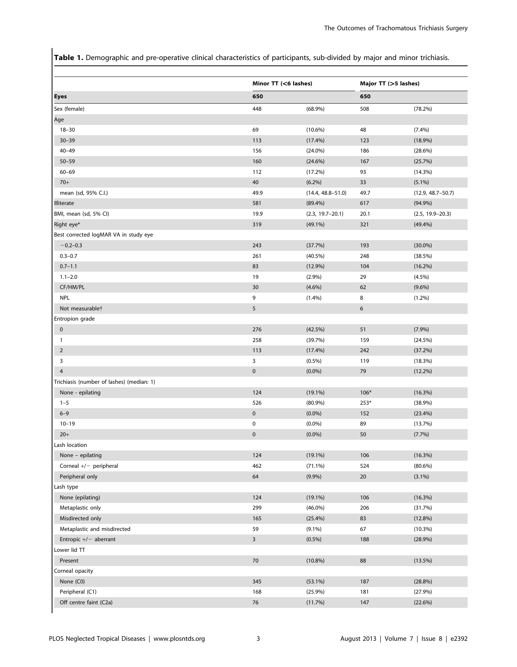Table 1. Demographic and pre-operative clinical characteristics of participants, sub-divided by major and minor trichiasis.

|                                           | Minor TT (<6 lashes)    |                       | Major TT (>5 lashes) |                       |  |  |
|-------------------------------------------|-------------------------|-----------------------|----------------------|-----------------------|--|--|
| Eyes                                      | 650                     |                       | 650                  |                       |  |  |
| Sex (female)                              | 448                     | $(68.9\%)$            | 508                  | (78.2%)               |  |  |
| Age                                       |                         |                       |                      |                       |  |  |
| $18 - 30$                                 | 69                      | $(10.6\%)$            | 48                   | $(7.4\%)$             |  |  |
| $30 - 39$                                 | 113                     | (17.4%)               | 123                  | $(18.9\%)$            |  |  |
| $40 - 49$                                 | 156                     | $(24.0\%)$            | 186                  | (28.6%)               |  |  |
| $50 - 59$                                 | 160                     | $(24.6\%)$            | 167                  | (25.7%)               |  |  |
| $60 - 69$                                 | 112                     | (17.2%)               | 93                   | (14.3%)               |  |  |
| $70+$                                     | 40                      | $(6.2\%)$             | 33                   | $(5.1\%)$             |  |  |
| mean (sd, 95% C.I.)                       | 49.9                    | $(14.4, 48.8 - 51.0)$ | 49.7                 | $(12.9, 48.7 - 50.7)$ |  |  |
| <b>Illiterate</b>                         | 581                     | $(89.4\%)$            | 617                  | $(94.9\%)$            |  |  |
| BMI, mean (sd, 5% CI)                     | 19.9                    | $(2.3, 19.7 - 20.1)$  | 20.1                 | $(2.5, 19.9 - 20.3)$  |  |  |
| Right eye*                                | 319                     | $(49.1\%)$            | 321                  | (49.4%)               |  |  |
| Best corrected logMAR VA in study eye     |                         |                       |                      |                       |  |  |
| $-0.2 - 0.3$                              | 243                     | (37.7%)               | 193                  | $(30.0\%)$            |  |  |
| $0.3 - 0.7$                               | 261                     | $(40.5\%)$            | 248                  | (38.5%)               |  |  |
| $0.7 - 1.1$                               | 83                      | $(12.9\%)$            | 104                  | $(16.2\%)$            |  |  |
| $1.1 - 2.0$                               | 19                      | (2.9%)                | 29                   | $(4.5\%)$             |  |  |
| CF/HM/PL                                  | 30                      | $(4.6\%)$             | 62                   | $(9.6\%)$             |  |  |
| <b>NPL</b>                                | 9                       | $(1.4\%)$             | 8                    | $(1.2\%)$             |  |  |
| Not measurablet                           | 5                       |                       | 6                    |                       |  |  |
| Entropion grade                           |                         |                       |                      |                       |  |  |
| $\pmb{0}$                                 | 276                     | (42.5%)               | 51                   | (7.9%)                |  |  |
| 1                                         | 258                     | (39.7%)               | 159                  | (24.5%)               |  |  |
| $\overline{2}$                            | 113                     | $(17.4\%)$            | 242                  | (37.2%)               |  |  |
| 3                                         | 3                       | $(0.5\%)$             | 119                  | (18.3%)               |  |  |
| $\overline{4}$                            | $\pmb{0}$               | $(0.0\%)$             | 79                   | $(12.2\%)$            |  |  |
| Trichiasis (number of lashes) (median: 1) |                         |                       |                      |                       |  |  |
| None - epilating                          | 124                     | $(19.1\%)$            | $106*$               | (16.3%)               |  |  |
| $1 - 5$                                   | 526                     | $(80.9\%)$            | $253*$               | (38.9%)               |  |  |
| $6 - 9$                                   | $\pmb{0}$               | $(0.0\%)$             | 152                  | (23.4%)               |  |  |
| $10 - 19$                                 | $\pmb{0}$               | $(0.0\%)$             | 89                   | (13.7%)               |  |  |
| $20+$                                     | $\pmb{0}$               | $(0.0\%)$             | 50                   | (7.7%)                |  |  |
| Lash location                             |                         |                       |                      |                       |  |  |
| None - epilating                          | 124                     | $(19.1\%)$            | 106                  | (16.3%)               |  |  |
| Corneal +/- peripheral                    | 462                     | $(71.1\%)$            | 524                  | $(80.6\%)$            |  |  |
| Peripheral only                           | 64                      | $(9.9\%)$             | $20\,$               | $(3.1\%)$             |  |  |
| Lash type                                 |                         |                       |                      |                       |  |  |
| None (epilating)                          | 124                     | $(19.1\%)$            | 106                  | (16.3%)               |  |  |
| Metaplastic only                          | 299                     | $(46.0\%)$            | 206                  | (31.7%)               |  |  |
| Misdirected only                          | 165                     | $(25.4\%)$            | 83                   | (12.8%)               |  |  |
| Metaplastic and misdirected               | 59                      | $(9.1\%)$             | 67                   | $(10.3\%)$            |  |  |
| Entropic $+/-$ aberrant                   | $\overline{\mathbf{3}}$ | $(0.5\%)$             | 188                  | $(28.9\%)$            |  |  |
| Lower lid TT                              |                         |                       |                      |                       |  |  |
| Present                                   | 70                      | $(10.8\%)$            | 88                   | (13.5%)               |  |  |
| Corneal opacity                           |                         |                       |                      |                       |  |  |
| None (C0)                                 | 345                     | $(53.1\%)$            | 187                  | (28.8%)               |  |  |
| Peripheral (C1)                           | 168                     | $(25.9\%)$            | 181                  | (27.9%)               |  |  |
| Off centre faint (C2a)                    | $76\,$                  | (11.7%)               | 147                  | (22.6%)               |  |  |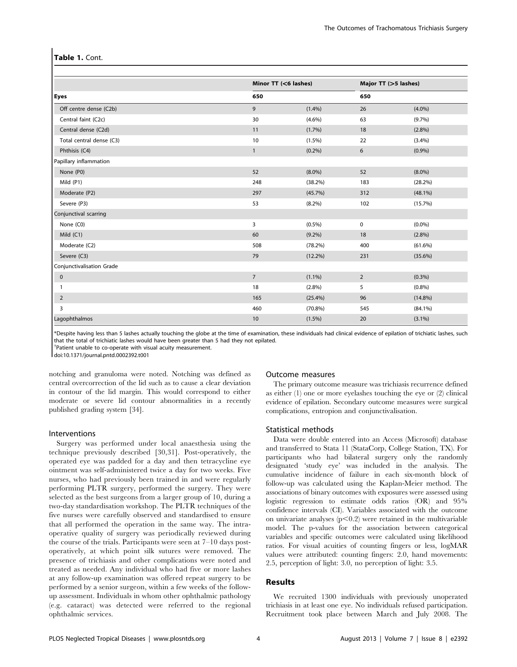#### Table 1. Cont.

|                           | Minor TT (<6 lashes) |            | Major TT (>5 lashes) |            |
|---------------------------|----------------------|------------|----------------------|------------|
| <b>Eyes</b>               | 650                  |            | 650                  |            |
| Off centre dense (C2b)    | 9                    | (1.4%)     | 26                   | $(4.0\%)$  |
| Central faint (C2c)       | 30                   | $(4.6\%)$  | 63                   | (9.7%)     |
| Central dense (C2d)       | 11                   | (1.7%)     | 18                   | (2.8%)     |
| Total central dense (C3)  | 10                   | $(1.5\%)$  | 22                   | (3.4%)     |
| Phthisis (C4)             | $\mathbf{1}$         | (0.2%)     | 6                    | (0.9%)     |
| Papillary inflammation    |                      |            |                      |            |
| None (P0)                 | 52                   | $(8.0\%)$  | 52                   | $(8.0\%)$  |
| Mild $(P1)$               | 248                  | $(38.2\%)$ | 183                  | (28.2%)    |
| Moderate (P2)             | 297                  | (45.7%)    | 312                  | $(48.1\%)$ |
| Severe (P3)               | 53                   | $(8.2\%)$  | 102                  | (15.7%)    |
| Conjunctival scarring     |                      |            |                      |            |
| None (C0)                 | 3                    | $(0.5\%)$  | $\pmb{0}$            | $(0.0\%)$  |
| Mild $(C1)$               | 60                   | $(9.2\%)$  | 18                   | $(2.8\%)$  |
| Moderate (C2)             | 508                  | $(78.2\%)$ | 400                  | $(61.6\%)$ |
| Severe (C3)               | 79                   | $(12.2\%)$ | 231                  | $(35.6\%)$ |
| Conjunctivalisation Grade |                      |            |                      |            |
| $\mathbf 0$               | $\overline{7}$       | $(1.1\%)$  | $\overline{2}$       | (0.3%)     |
| 1                         | 18                   | $(2.8\%)$  | 5                    | $(0.8\%)$  |
| $\overline{2}$            | 165                  | (25.4%)    | 96                   | $(14.8\%)$ |
| 3                         | 460                  | $(70.8\%)$ | 545                  | $(84.1\%)$ |
| Lagophthalmos             | 10                   | $(1.5\%)$  | 20                   | $(3.1\%)$  |

\*Despite having less than 5 lashes actually touching the globe at the time of examination, these individuals had clinical evidence of epilation of trichiatic lashes, such that the total of trichiatic lashes would have been greater than 5 had they not epilated.

<sup>†</sup>Patient unable to co-operate with visual acuity measurement.

doi:10.1371/journal.pntd.0002392.t001

notching and granuloma were noted. Notching was defined as central overcorrection of the lid such as to cause a clear deviation in contour of the lid margin. This would correspond to either moderate or severe lid contour abnormalities in a recently published grading system [34].

#### Interventions

Surgery was performed under local anaesthesia using the technique previously described [30,31]. Post-operatively, the operated eye was padded for a day and then tetracycline eye ointment was self-administered twice a day for two weeks. Five nurses, who had previously been trained in and were regularly performing PLTR surgery, performed the surgery. They were selected as the best surgeons from a larger group of 10, during a two-day standardisation workshop. The PLTR techniques of the five nurses were carefully observed and standardised to ensure that all performed the operation in the same way. The intraoperative quality of surgery was periodically reviewed during the course of the trials. Participants were seen at 7–10 days postoperatively, at which point silk sutures were removed. The presence of trichiasis and other complications were noted and treated as needed. Any individual who had five or more lashes at any follow-up examination was offered repeat surgery to be performed by a senior surgeon, within a few weeks of the followup assessment. Individuals in whom other ophthalmic pathology (e.g. cataract) was detected were referred to the regional ophthalmic services.

#### Outcome measures

The primary outcome measure was trichiasis recurrence defined as either (1) one or more eyelashes touching the eye or (2) clinical evidence of epilation. Secondary outcome measures were surgical complications, entropion and conjunctivalisation.

#### Statistical methods

Data were double entered into an Access (Microsoft) database and transferred to Stata 11 (StataCorp, College Station, TX). For participants who had bilateral surgery only the randomly designated 'study eye' was included in the analysis. The cumulative incidence of failure in each six-month block of follow-up was calculated using the Kaplan-Meier method. The associations of binary outcomes with exposures were assessed using logistic regression to estimate odds ratios (OR) and 95% confidence intervals (CI). Variables associated with the outcome on univariate analyses  $(p<0.2)$  were retained in the multivariable model. The p-values for the association between categorical variables and specific outcomes were calculated using likelihood ratios. For visual acuities of counting fingers or less, logMAR values were attributed: counting fingers: 2.0, hand movements: 2.5, perception of light: 3.0, no perception of light: 3.5.

#### Results

We recruited 1300 individuals with previously unoperated trichiasis in at least one eye. No individuals refused participation. Recruitment took place between March and July 2008. The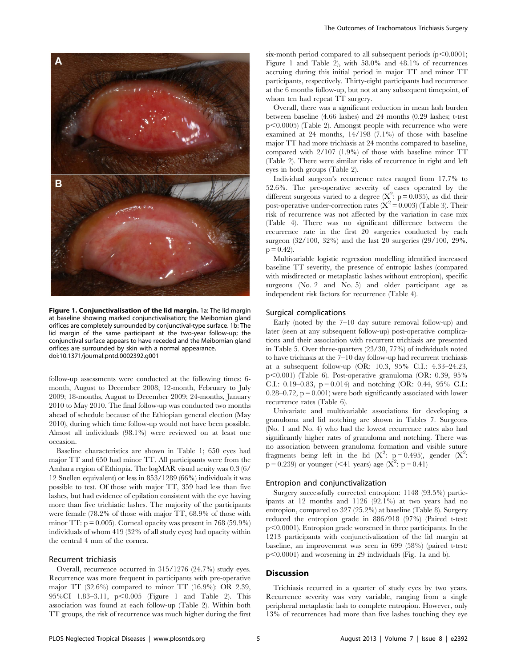

Figure 1. Conjunctivalisation of the lid margin. 1a: The lid margin at baseline showing marked conjunctivalisation; the Meibomian gland orifices are completely surrounded by conjunctival-type surface. 1b: The lid margin of the same participant at the two-year follow-up; the conjunctival surface appears to have receded and the Meibomian gland orifices are surrounded by skin with a normal appearance. doi:10.1371/journal.pntd.0002392.g001

follow-up assessments were conducted at the following times: 6 month, August to December 2008; 12-month, February to July 2009; 18-months, August to December 2009; 24-months, January 2010 to May 2010. The final follow-up was conducted two months ahead of schedule because of the Ethiopian general election (May 2010), during which time follow-up would not have been possible. Almost all individuals (98.1%) were reviewed on at least one occasion.

Baseline characteristics are shown in Table 1; 650 eyes had major TT and 650 had minor TT. All participants were from the Amhara region of Ethiopia. The logMAR visual acuity was 0.3 (6/ 12 Snellen equivalent) or less in 853/1289 (66%) individuals it was possible to test. Of those with major TT, 359 had less than five lashes, but had evidence of epilation consistent with the eye having more than five trichiatic lashes. The majority of the participants were female (78.2% of those with major TT, 68.9% of those with minor TT:  $p = 0.005$ ). Corneal opacity was present in 768 (59.9%) individuals of whom 419 (32% of all study eyes) had opacity within the central 4 mm of the cornea.

#### Recurrent trichiasis

Overall, recurrence occurred in 315/1276 (24.7%) study eyes. Recurrence was more frequent in participants with pre-operative major TT (32.6%) compared to minor TT (16.9%): OR 2.39, 95%CI 1.83-3.11,  $p < 0.005$  (Figure 1 and Table 2). This association was found at each follow-up (Table 2). Within both TT groups, the risk of recurrence was much higher during the first six-month period compared to all subsequent periods  $(p<0.0001;$ Figure 1 and Table 2), with 58.0% and 48.1% of recurrences accruing during this initial period in major TT and minor TT participants, respectively. Thirty-eight participants had recurrence at the 6 months follow-up, but not at any subsequent timepoint, of whom ten had repeat TT surgery.

Overall, there was a significant reduction in mean lash burden between baseline (4.66 lashes) and 24 months (0.29 lashes; t-test p<0.0005) (Table 2). Amongst people with recurrence who were examined at 24 months, 14/198 (7.1%) of those with baseline major TT had more trichiasis at 24 months compared to baseline, compared with 2/107 (1.9%) of those with baseline minor TT (Table 2). There were similar risks of recurrence in right and left eyes in both groups (Table 2).

Individual surgeon's recurrence rates ranged from 17.7% to 52.6%. The pre-operative severity of cases operated by the different surgeons varied to a degree  $(X^2: p = 0.035)$ , as did their post-operative under-correction rates  $(X^2 = 0.003)$  (Table 3). Their risk of recurrence was not affected by the variation in case mix (Table 4). There was no significant difference between the recurrence rate in the first 20 surgeries conducted by each surgeon (32/100, 32%) and the last 20 surgeries (29/100, 29%,  $p = 0.42$ ).

Multivariable logistic regression modelling identified increased baseline TT severity, the presence of entropic lashes (compared with misdirected or metaplastic lashes without entropion), specific surgeons (No. 2 and No. 5) and older participant age as independent risk factors for recurrence (Table 4).

#### Surgical complications

Early (noted by the 7–10 day suture removal follow-up) and later (seen at any subsequent follow-up) post-operative complications and their association with recurrent trichiasis are presented in Table 5. Over three-quarters (23/30, 77%) of individuals noted to have trichiasis at the 7–10 day follow-up had recurrent trichiasis at a subsequent follow-up (OR: 10.3, 95% C.I.: 4.33–24.23,  $p<0.001$ ) (Table 6). Post-operative granuloma (OR: 0.39, 95%) C.I.: 0.19–0.83,  $p = 0.014$  and notching (OR: 0.44, 95% C.I.:  $0.28-0.72$ ,  $p = 0.001$ ) were both significantly associated with lower recurrence rates (Table 6).

Univariate and multivariable associations for developing a granuloma and lid notching are shown in Tables 7. Surgeons (No. 1 and No. 4) who had the lowest recurrence rates also had significantly higher rates of granuloma and notching. There was no association between granuloma formation and visible suture fragments being left in the lid ( $X^2$ : p = 0.495), gender ( $X^2$ :  $p = 0.239$ ) or younger (<41 years) age ( $X^2$ :  $p = 0.41$ )

#### Entropion and conjunctivalization

Surgery successfully corrected entropion: 1148 (93.5%) participants at 12 months and 1126 (92.1%) at two years had no entropion, compared to 327 (25.2%) at baseline (Table 8). Surgery reduced the entropion grade in 886/918 (97%) (Paired t-test:  $p<0.0001$ ). Entropion grade worsened in three participants. In the 1213 participants with conjunctivalization of the lid margin at baseline, an improvement was seen in 699 (58%) (paired t-test:  $p<0.0001$ ) and worsening in 29 individuals (Fig. 1a and b).

#### **Discussion**

Trichiasis recurred in a quarter of study eyes by two years. Recurrence severity was very variable, ranging from a single peripheral metaplastic lash to complete entropion. However, only 13% of recurrences had more than five lashes touching they eye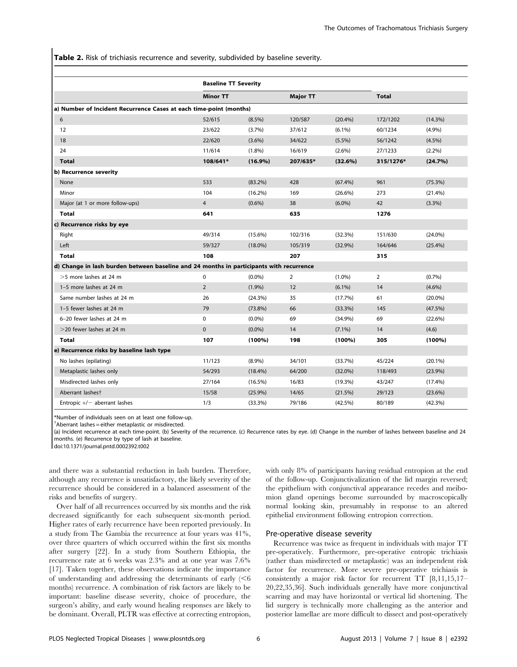Table 2. Risk of trichiasis recurrence and severity, subdivided by baseline severity.

|                                                                                         | <b>Baseline TT Severity</b> |            |                 |            |                |            |
|-----------------------------------------------------------------------------------------|-----------------------------|------------|-----------------|------------|----------------|------------|
|                                                                                         | <b>Minor TT</b>             |            | <b>Major TT</b> |            | <b>Total</b>   |            |
| a) Number of Incident Recurrence Cases at each time-point (months)                      |                             |            |                 |            |                |            |
| 6                                                                                       | 52/615                      | $(8.5\%)$  | 120/587         | (20.4%)    | 172/1202       | $(14.3\%)$ |
| 12                                                                                      | 23/622                      | (3.7%)     | 37/612          | $(6.1\%)$  | 60/1234        | (4.9%)     |
| 18                                                                                      | 22/620                      | $(3.6\%)$  | 34/622          | $(5.5\%)$  | 56/1242        | $(4.5\%)$  |
| 24                                                                                      | 11/614                      | $(1.8\%)$  | 16/619          | $(2.6\%)$  | 27/1233        | $(2.2\%)$  |
| <b>Total</b>                                                                            | 108/641*                    | $(16.9\%)$ | 207/635*        | $(32.6\%)$ | 315/1276*      | (24.7%)    |
| b) Recurrence severity                                                                  |                             |            |                 |            |                |            |
| None                                                                                    | 533                         | $(83.2\%)$ | 428             | (67.4%)    | 961            | (75.3%)    |
| Minor                                                                                   | 104                         | $(16.2\%)$ | 169             | $(26.6\%)$ | 273            | $(21.4\%)$ |
| Major (at 1 or more follow-ups)                                                         | $\overline{4}$              | $(0.6\%)$  | 38              | $(6.0\%)$  | 42             | $(3.3\%)$  |
| <b>Total</b>                                                                            | 641                         |            | 635             |            | 1276           |            |
| c) Recurrence risks by eye                                                              |                             |            |                 |            |                |            |
| Right                                                                                   | 49/314                      | $(15.6\%)$ | 102/316         | (32.3%)    | 151/630        | $(24.0\%)$ |
| Left                                                                                    | 59/327                      | $(18.0\%)$ | 105/319         | (32.9%)    | 164/646        | $(25.4\%)$ |
| <b>Total</b>                                                                            | 108                         |            | 207             |            | 315            |            |
| d) Change in lash burden between baseline and 24 months in participants with recurrence |                             |            |                 |            |                |            |
| $>5$ more lashes at 24 m                                                                | 0                           | $(0.0\%)$  | 2               | $(1.0\%)$  | $\overline{2}$ | (0.7%)     |
| 1-5 more lashes at 24 m                                                                 | $\overline{2}$              | $(1.9\%)$  | 12              | $(6.1\%)$  | 14             | $(4.6\%)$  |
| Same number lashes at 24 m                                                              | 26                          | (24.3%)    | 35              | (17.7%)    | 61             | $(20.0\%)$ |
| 1-5 fewer lashes at 24 m                                                                | 79                          | $(73.8\%)$ | 66              | $(33.3\%)$ | 145            | $(47.5\%)$ |
| 6-20 fewer lashes at 24 m                                                               | $\mathbf 0$                 | $(0.0\%)$  | 69              | (34.9%)    | 69             | (22.6%)    |
| $>$ 20 fewer lashes at 24 m                                                             | $\mathbf{0}$                | $(0.0\%)$  | 14              | $(7.1\%)$  | 14             | (4.6)      |
| Total                                                                                   | 107                         | (100%)     | 198             | $(100\%)$  | 305            | $(100\%)$  |
| e) Recurrence risks by baseline lash type                                               |                             |            |                 |            |                |            |
| No lashes (epilating)                                                                   | 11/123                      | $(8.9\%)$  | 34/101          | (33.7%)    | 45/224         | $(20.1\%)$ |
| Metaplastic lashes only                                                                 | 54/293                      | $(18.4\%)$ | 64/200          | $(32.0\%)$ | 118/493        | $(23.9\%)$ |
| Misdirected lashes only                                                                 | 27/164                      | $(16.5\%)$ | 16/83           | (19.3%)    | 43/247         | $(17.4\%)$ |
| Aberrant lashest                                                                        | 15/58                       | $(25.9\%)$ | 14/65           | (21.5%)    | 29/123         | (23.6%)    |
| Entropic $+/-$ aberrant lashes                                                          | 1/3                         | (33.3%)    | 79/186          | $(42.5\%)$ | 80/189         | $(42.3\%)$ |

\*Number of individuals seen on at least one follow-up.

 $\dagger$ Aberrant lashes = either metaplastic or misdirected.

(a) Incident recurrence at each time-point. (b) Severity of the recurrence. (c) Recurrence rates by eye. (d) Change in the number of lashes between baseline and 24 months. (e) Recurrence by type of lash at baseline.

doi:10.1371/journal.pntd.0002392.t002

and there was a substantial reduction in lash burden. Therefore, although any recurrence is unsatisfactory, the likely severity of the recurrence should be considered in a balanced assessment of the risks and benefits of surgery.

Over half of all recurrences occurred by six months and the risk decreased significantly for each subsequent six-month period. Higher rates of early recurrence have been reported previously. In a study from The Gambia the recurrence at four years was 41%, over three quarters of which occurred within the first six months after surgery [22]. In a study from Southern Ethiopia, the recurrence rate at 6 weeks was 2.3% and at one year was 7.6% [17]. Taken together, these observations indicate the importance of understanding and addressing the determinants of early  $\leq 6$ months) recurrence. A combination of risk factors are likely to be important: baseline disease severity, choice of procedure, the surgeon's ability, and early wound healing responses are likely to be dominant. Overall, PLTR was effective at correcting entropion, with only 8% of participants having residual entropion at the end of the follow-up. Conjunctivalization of the lid margin reversed; the epithelium with conjunctival appearance recedes and meibomion gland openings become surrounded by macroscopically normal looking skin, presumably in response to an altered epithelial environment following entropion correction.

#### Pre-operative disease severity

Recurrence was twice as frequent in individuals with major TT pre-operatively. Furthermore, pre-operative entropic trichiasis (rather than misdirected or metaplastic) was an independent risk factor for recurrence. More severe pre-operative trichiasis is consistently a major risk factor for recurrent TT [8,11,15,17– 20,22,35,36]. Such individuals generally have more conjunctival scarring and may have horizontal or vertical lid shortening. The lid surgery is technically more challenging as the anterior and posterior lamellae are more difficult to dissect and post-operatively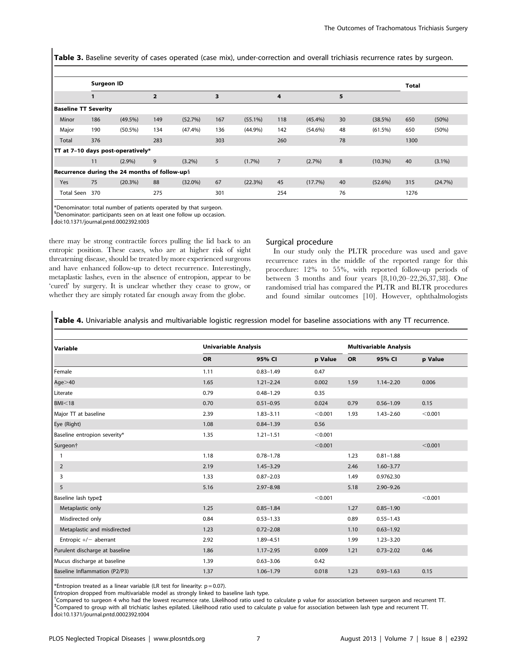Table 3. Baseline severity of cases operated (case mix), under-correction and overall trichiasis recurrence rates by surgeon.

|                                               | <b>Surgeon ID</b> |            |                |            |     |            |     |            |    |            | <b>Total</b> |           |
|-----------------------------------------------|-------------------|------------|----------------|------------|-----|------------|-----|------------|----|------------|--------------|-----------|
|                                               | 1                 |            | $\overline{2}$ |            | 3   |            | 4   |            | 5  |            |              |           |
| <b>Baseline TT Severity</b>                   |                   |            |                |            |     |            |     |            |    |            |              |           |
| Minor                                         | 186               | $(49.5\%)$ | 149            | (52.7%)    | 167 | $(55.1\%)$ | 118 | $(45.4\%)$ | 30 | (38.5%)    | 650          | (50%)     |
| Major                                         | 190               | $(50.5\%)$ | 134            | (47.4%)    | 136 | (44.9%)    | 142 | $(54.6\%)$ | 48 | (61.5%)    | 650          | (50%)     |
| Total                                         | 376               |            | 283            |            | 303 |            | 260 |            | 78 |            | 1300         |           |
| TT at 7-10 days post-operatively*             |                   |            |                |            |     |            |     |            |    |            |              |           |
|                                               | 11                | $(2.9\%)$  | 9              | $(3.2\%)$  | 5   | $(1.7\%)$  | 7   | (2.7%)     | 8  | $(10.3\%)$ | 40           | $(3.1\%)$ |
| Recurrence during the 24 months of follow-up§ |                   |            |                |            |     |            |     |            |    |            |              |           |
| Yes                                           | 75                | (20.3%)    | 88             | $(32.0\%)$ | 67  | (22.3%)    | 45  | $(17.7\%)$ | 40 | (52.6%)    | 315          | (24.7%)   |
| <b>Total Seen</b>                             | 370               |            | 275            |            | 301 |            | 254 |            | 76 |            | 1276         |           |

\*Denominator: total number of patients operated by that surgeon.

1 Denominator: participants seen on at least one follow up occasion.

doi:10.1371/journal.pntd.0002392.t003

there may be strong contractile forces pulling the lid back to an entropic position. These cases, who are at higher risk of sight threatening disease, should be treated by more experienced surgeons and have enhanced follow-up to detect recurrence. Interestingly, metaplastic lashes, even in the absence of entropion, appear to be 'cured' by surgery. It is unclear whether they cease to grow, or whether they are simply rotated far enough away from the globe.

#### Surgical procedure

In our study only the PLTR procedure was used and gave recurrence rates in the middle of the reported range for this procedure: 12% to 55%, with reported follow-up periods of between 3 months and four years [8,10,20–22,26,37,38]. One randomised trial has compared the PLTR and BLTR procedures and found similar outcomes [10]. However, ophthalmologists

Table 4. Univariable analysis and multivariable logistic regression model for baseline associations with any TT recurrence.

| Variable                       | <b>Univariable Analysis</b> |               |         |           | <b>Multivariable Analysis</b> |         |
|--------------------------------|-----------------------------|---------------|---------|-----------|-------------------------------|---------|
|                                | <b>OR</b>                   | 95% CI        | p Value | <b>OR</b> | 95% CI                        | p Value |
| Female                         | 1.11                        | $0.83 - 1.49$ | 0.47    |           |                               |         |
| Age $>40$                      | 1.65                        | $1.21 - 2.24$ | 0.002   | 1.59      | $1.14 - 2.20$                 | 0.006   |
| Literate                       | 0.79                        | $0.48 - 1.29$ | 0.35    |           |                               |         |
| BM < 18                        | 0.70                        | $0.51 - 0.95$ | 0.024   | 0.79      | $0.56 - 1.09$                 | 0.15    |
| Major TT at baseline           | 2.39                        | $1.83 - 3.11$ | < 0.001 | 1.93      | $1.43 - 2.60$                 | < 0.001 |
| Eye (Right)                    | 1.08                        | $0.84 - 1.39$ | 0.56    |           |                               |         |
| Baseline entropion severity*   | 1.35                        | $1.21 - 1.51$ | < 0.001 |           |                               |         |
| Surgeon <sup>+</sup>           |                             |               | < 0.001 |           |                               | < 0.001 |
| 1                              | 1.18                        | $0.78 - 1.78$ |         | 1.23      | $0.81 - 1.88$                 |         |
| $\overline{2}$                 | 2.19                        | $1.45 - 3.29$ |         | 2.46      | $1.60 - 3.77$                 |         |
| 3                              | 1.33                        | $0.87 - 2.03$ |         | 1.49      | 0.9762.30                     |         |
| 5                              | 5.16                        | $2.97 - 8.98$ |         | 5.18      | $2.90 - 9.26$                 |         |
| Baseline lash type‡            |                             |               | < 0.001 |           |                               | < 0.001 |
| Metaplastic only               | 1.25                        | $0.85 - 1.84$ |         | 1.27      | $0.85 - 1.90$                 |         |
| Misdirected only               | 0.84                        | $0.53 - 1.33$ |         | 0.89      | $0.55 - 1.43$                 |         |
| Metaplastic and misdirected    | 1.23                        | $0.72 - 2.08$ |         | 1.10      | $0.63 - 1.92$                 |         |
| Entropic $+/-$ aberrant        | 2.92                        | 1.89-4.51     |         | 1.99      | $1.23 - 3.20$                 |         |
| Purulent discharge at baseline | 1.86                        | $1.17 - 2.95$ | 0.009   | 1.21      | $0.73 - 2.02$                 | 0.46    |
| Mucus discharge at baseline    | 1.39                        | $0.63 - 3.06$ | 0.42    |           |                               |         |
| Baseline Inflammation (P2/P3)  | 1.37                        | $1.06 - 1.79$ | 0.018   | 1.23      | $0.93 - 1.63$                 | 0.15    |

\*Entropion treated as a linear variable (LR test for linearity:  $p = 0.07$ ).

Entropion dropped from multivariable model as strongly linked to baseline lash type.

{ Compared to surgeon 4 who had the lowest recurrence rate. Likelihood ratio used to calculate p value for association between surgeon and recurrent TT. ` Compared to group with all trichiatic lashes epilated. Likelihood ratio used to calculate p value for association between lash type and recurrent TT. doi:10.1371/journal.pntd.0002392.t004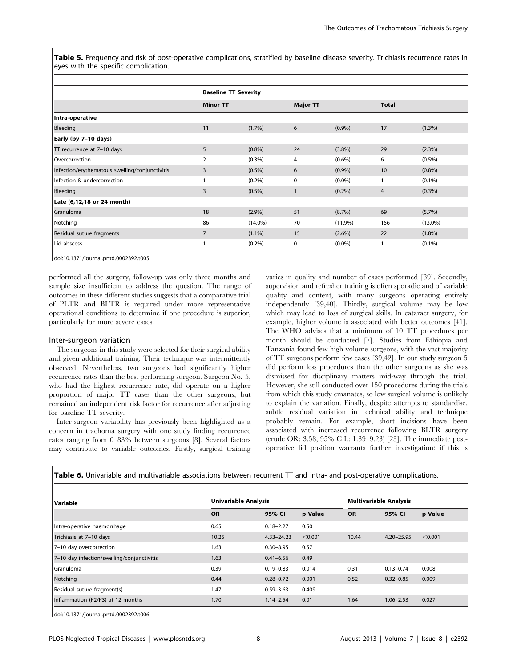Table 5. Frequency and risk of post-operative complications, stratified by baseline disease severity. Trichiasis recurrence rates in eyes with the specific complication.

|                                                | <b>Baseline TT Severity</b> |            |                 |           |              |            |
|------------------------------------------------|-----------------------------|------------|-----------------|-----------|--------------|------------|
|                                                | <b>Minor TT</b>             |            | <b>Major TT</b> |           | <b>Total</b> |            |
| Intra-operative                                |                             |            |                 |           |              |            |
| Bleeding                                       | 11                          | $(1.7\%)$  | 6               | $(0.9\%)$ | 17           | $(1.3\%)$  |
| Early (by 7-10 days)                           |                             |            |                 |           |              |            |
| TT recurrence at 7-10 days                     | 5                           | (0.8%)     | 24              | $(3.8\%)$ | 29           | (2.3%)     |
| Overcorrection                                 | $\overline{2}$              | $(0.3\%)$  | 4               | $(0.6\%)$ | 6            | $(0.5\%)$  |
| Infection/erythematous swelling/conjunctivitis | 3                           | $(0.5\%)$  | 6               | $(0.9\%)$ | 10           | $(0.8\%)$  |
| Infection & undercorrection                    |                             | $(0.2\%)$  | 0               | $(0.0\%)$ | 1            | $(0.1\%)$  |
| Bleeding                                       | 3                           | $(0.5\%)$  | 1               | $(0.2\%)$ | 4            | $(0.3\%)$  |
| Late (6,12,18 or 24 month)                     |                             |            |                 |           |              |            |
| Granuloma                                      | 18                          | (2.9%)     | 51              | $(8.7\%)$ | 69           | $(5.7\%)$  |
| Notching                                       | 86                          | $(14.0\%)$ | 70              | (11.9%)   | 156          | $(13.0\%)$ |
| Residual suture fragments                      | 7                           | $(1.1\%)$  | 15              | $(2.6\%)$ | 22           | $(1.8\%)$  |
| Lid abscess                                    |                             | (0.2%)     | $\mathbf 0$     | $(0.0\%)$ | 1            | $(0.1\%)$  |

doi:10.1371/journal.pntd.0002392.t005

performed all the surgery, follow-up was only three months and sample size insufficient to address the question. The range of outcomes in these different studies suggests that a comparative trial of PLTR and BLTR is required under more representative operational conditions to determine if one procedure is superior, particularly for more severe cases.

#### Inter-surgeon variation

The surgeons in this study were selected for their surgical ability and given additional training. Their technique was intermittently observed. Nevertheless, two surgeons had significantly higher recurrence rates than the best performing surgeon. Surgeon No. 5, who had the highest recurrence rate, did operate on a higher proportion of major TT cases than the other surgeons, but remained an independent risk factor for recurrence after adjusting for baseline TT severity.

Inter-surgeon variability has previously been highlighted as a concern in trachoma surgery with one study finding recurrence rates ranging from 0–83% between surgeons [8]. Several factors may contribute to variable outcomes. Firstly, surgical training varies in quality and number of cases performed [39]. Secondly, supervision and refresher training is often sporadic and of variable quality and content, with many surgeons operating entirely independently [39,40]. Thirdly, surgical volume may be low which may lead to loss of surgical skills. In cataract surgery, for example, higher volume is associated with better outcomes [41]. The WHO advises that a minimum of 10 TT procedures per month should be conducted [7]. Studies from Ethiopia and Tanzania found few high volume surgeons, with the vast majority of TT surgeons perform few cases [39,42]. In our study surgeon 5 did perform less procedures than the other surgeons as she was dismissed for disciplinary matters mid-way through the trial. However, she still conducted over 150 procedures during the trials from which this study emanates, so low surgical volume is unlikely to explain the variation. Finally, despite attempts to standardise, subtle residual variation in technical ability and technique probably remain. For example, short incisions have been associated with increased recurrence following BLTR surgery (crude OR: 3.58, 95% C.I.: 1.39–9.23) [23]. The immediate postoperative lid position warrants further investigation: if this is

Table 6. Univariable and multivariable associations between recurrent TT and intra- and post-operative complications.

| Variable                                   | <b>Univariable Analysis</b> |                | <b>Multivariable Analysis</b> |           |                |         |
|--------------------------------------------|-----------------------------|----------------|-------------------------------|-----------|----------------|---------|
|                                            | <b>OR</b>                   | 95% CI         | p Value                       | <b>OR</b> | 95% CI         | p Value |
| Intra-operative haemorrhage                | 0.65                        | $0.18 - 2.27$  | 0.50                          |           |                |         |
| Trichiasis at 7-10 days                    | 10.25                       | $4.33 - 24.23$ | < 0.001                       | 10.44     | $4.20 - 25.95$ | < 0.001 |
| 7-10 day overcorrection                    | 1.63                        | $0.30 - 8.95$  | 0.57                          |           |                |         |
| 7-10 day infection/swelling/conjunctivitis | 1.63                        | $0.41 - 6.56$  | 0.49                          |           |                |         |
| l Granuloma                                | 0.39                        | $0.19 - 0.83$  | 0.014                         | 0.31      | $0.13 - 0.74$  | 0.008   |
| Notching                                   | 0.44                        | $0.28 - 0.72$  | 0.001                         | 0.52      | $0.32 - 0.85$  | 0.009   |
| Residual suture fragment(s)                | 1.47                        | $0.59 - 3.63$  | 0.409                         |           |                |         |
| Inflammation (P2/P3) at 12 months          | 1.70                        | $1.14 - 2.54$  | 0.01                          | 1.64      | $1.06 - 2.53$  | 0.027   |

doi:10.1371/journal.pntd.0002392.t006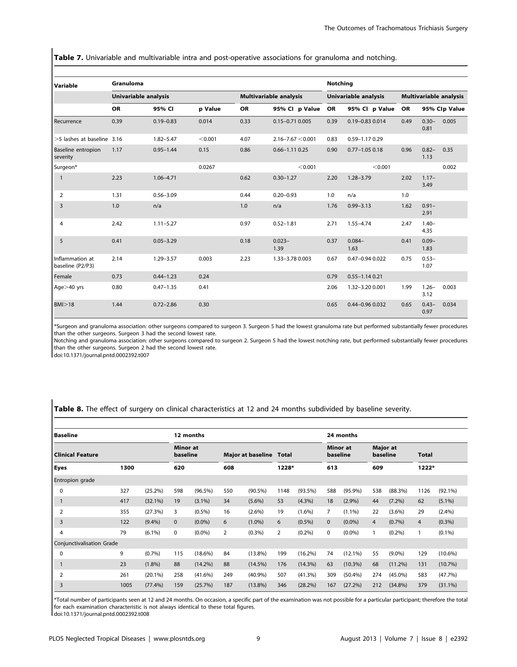Table 7. Univariable and multivariable intra and post-operative associations for granuloma and notching.

| Variable                              | Granuloma            |               |         |                        |                         |           | <b>Notching</b>      |                        |                  |               |  |  |  |
|---------------------------------------|----------------------|---------------|---------|------------------------|-------------------------|-----------|----------------------|------------------------|------------------|---------------|--|--|--|
|                                       | Univariable analysis |               |         | Multivariable analysis |                         |           | Univariable analysis | Multivariable analysis |                  |               |  |  |  |
|                                       | <b>OR</b>            | 95% CI        | p Value | OR                     | 95% Cl p Value          | <b>OR</b> | 95% Cl p Value       | <b>OR</b>              |                  | 95% Clp Value |  |  |  |
| Recurrence                            | 0.39                 | $0.19 - 0.83$ | 0.014   | 0.33                   | 0.15-0.71 0.005         | 0.39      | 0.19-0.83 0.014      | 0.49                   | $0.30 -$<br>0.81 | 0.005         |  |  |  |
| $>5$ lashes at baseline 3.16          |                      | $1.82 - 5.47$ | < 0.001 | 4.07                   | $2.16 - 7.67 \le 0.001$ | 0.83      | 0.59-1.17 0.29       |                        |                  |               |  |  |  |
| <b>Baseline entropion</b><br>severity | 1.17                 | $0.95 - 1.44$ | 0.15    | 0.86                   | $0.66 - 1.11$ $0.25$    | 0.90      | $0.77 - 1.05$ 0.18   | 0.96                   | $0.82 -$<br>1.13 | 0.35          |  |  |  |
| Surgeon*                              |                      |               | 0.0267  |                        | < 0.001                 |           | < 0.001              |                        |                  | 0.002         |  |  |  |
| $\mathbf{1}$                          | 2.23                 | $1.06 - 4.71$ |         | 0.62                   | $0.30 - 1.27$           | 2.20      | $1.28 - 3.79$        | 2.02                   | $1.17-$<br>3.49  |               |  |  |  |
| $\overline{2}$                        | 1.31                 | $0.56 - 3.09$ |         | 0.44                   | $0.20 - 0.93$           | 1.0       | n/a                  | 1.0                    |                  |               |  |  |  |
| 3                                     | 1.0                  | n/a           |         | 1.0                    | n/a                     | 1.76      | $0.99 - 3.13$        | 1.62                   | $0.91 -$<br>2.91 |               |  |  |  |
| $\overline{4}$                        | 2.42                 | $1.11 - 5.27$ |         | 0.97                   | $0.52 - 1.81$           | 2.71      | $1.55 - 4.74$        | 2.47                   | $1.40 -$<br>4.35 |               |  |  |  |
| 5                                     | 0.41                 | $0.05 - 3.29$ |         | 0.18                   | $0.023 -$<br>1.39       | 0.37      | $0.084 -$<br>1.63    | 0.41                   | $0.09 -$<br>1.83 |               |  |  |  |
| Inflammation at<br>baseline (P2/P3)   | 2.14                 | $1.29 - 3.57$ | 0.003   | 2.23                   | 1.33-3.78 0.003         | 0.67      | 0.47-0.94 0.022      | 0.75                   | $0.53 -$<br>1.07 |               |  |  |  |
| Female                                | 0.73                 | $0.44 - 1.23$ | 0.24    |                        |                         | 0.79      | $0.55 - 1.14$ 0.21   |                        |                  |               |  |  |  |
| Age>40 yrs                            | 0.80                 | $0.47 - 1.35$ | 0.41    |                        |                         | 2.06      | 1.32-3.20 0.001      | 1.99                   | $1.26 -$<br>3.12 | 0.003         |  |  |  |
| BM > 18                               | 1.44                 | $0.72 - 2.86$ | 0.30    |                        |                         | 0.65      | 0.44-0.96 0.032      | 0.65                   | $0.43 -$<br>0.97 | 0.034         |  |  |  |

\*Surgeon and granuloma association: other surgeons compared to surgeon 3. Surgeon 5 had the lowest granuloma rate but performed substantially fewer procedures than the other surgeons. Surgeon 3 had the second lowest rate.

Notching and granuloma association: other surgeons compared to surgeon 2. Surgeon 5 had the lowest notching rate, but performed substantially fewer procedures than the other surgeons. Surgeon 2 had the second lowest rate.

doi:10.1371/journal.pntd.0002392.t007

Table 8. The effect of surgery on clinical characteristics at 12 and 24 months subdivided by baseline severity.

| l Baseline                       |      |            |                             | 12 months  |     |                                |       |            |                             |            | 24 months                   |            |                |            |  |  |
|----------------------------------|------|------------|-----------------------------|------------|-----|--------------------------------|-------|------------|-----------------------------|------------|-----------------------------|------------|----------------|------------|--|--|
| Clinical Feature                 |      |            | <b>Minor</b> at<br>baseline |            |     | <b>Major at baseline Total</b> |       |            | <b>Minor</b> at<br>baseline |            | <b>Major</b> at<br>baseline |            | <b>Total</b>   |            |  |  |
| <b>Eyes</b>                      | 1300 |            | 620                         |            | 608 |                                | 1228* |            | 613                         |            | 609                         |            |                | 1222*      |  |  |
| <b>Entropion</b> grade           |      |            |                             |            |     |                                |       |            |                             |            |                             |            |                |            |  |  |
| 0                                | 327  | $(25.2\%)$ | 598                         | $(96.5\%)$ | 550 | $(90.5\%)$                     | 1148  | $(93.5\%)$ | 588                         | $(95.9\%)$ | 538                         | (88.3%)    | 1126           | $(92.1\%)$ |  |  |
| 1                                | 417  | $(32.1\%)$ | 19                          | $(3.1\%)$  | 34  | $(5.6\%)$                      | 53    | $(4.3\%)$  | 18                          | $(2.9\%)$  | 44                          | $(7.2\%)$  | 62             | $(5.1\%)$  |  |  |
| $\overline{2}$                   | 355  | (27.3%)    | 3                           | $(0.5\%)$  | 16  | $(2.6\%)$                      | 19    | $(1.6\%)$  | 7                           | $(1.1\%)$  | 22                          | $(3.6\%)$  | 29             | (2.4%)     |  |  |
| 3                                | 122  | $(9.4\%)$  | $\mathbf{0}$                | $(0.0\%)$  | 6   | $(1.0\%)$                      | 6     | $(0.5\%)$  | $\mathbf{0}$                | $(0.0\%)$  | $\overline{4}$              | (0.7%      | $\overline{4}$ | $(0.3\%)$  |  |  |
| 4                                | 79   | $(6.1\%)$  | 0                           | $(0.0\%)$  | 2   | (0.3%)                         | 2     | $(0.2\%)$  | 0                           | $(0.0\%)$  | 1                           | (0.2%)     |                | $(0.1\%)$  |  |  |
| <b>Conjunctivalisation Grade</b> |      |            |                             |            |     |                                |       |            |                             |            |                             |            |                |            |  |  |
| 0                                | 9    | (0.7%      | 115                         | $(18.6\%)$ | 84  | $(13.8\%)$                     | 199   | $(16.2\%)$ | 74                          | $(12.1\%)$ | 55                          | $(9.0\%)$  | 129            | $(10.6\%)$ |  |  |
|                                  | 23   | $(1.8\%)$  | 88                          | $(14.2\%)$ | 88  | (14.5%)                        | 176   | $(14.3\%)$ | 63                          | $(10.3\%)$ | 68                          | $(11.2\%)$ | 131            | $(10.7\%)$ |  |  |
| 2                                | 261  | $(20.1\%)$ | 258                         | $(41.6\%)$ | 249 | (40.9%)                        | 507   | (41.3%)    | 309                         | (50.4%)    | 274                         | $(45.0\%)$ | 583            | (47.7%)    |  |  |
| 3                                | 1005 | $(77.4\%)$ | 159                         | (25.7%)    | 187 | $(13.8\%)$                     | 346   | $(28.2\%)$ | 167                         | (27.2%)    | 212                         | $(34.8\%)$ | 379            | $(31.1\%)$ |  |  |

\*Total number of participants seen at 12 and 24 months. On occasion, a specific part of the examination was not possible for a particular participant; therefore the total for each examination characteristic is not always identical to these total figures.

doi:10.1371/journal.pntd.0002392.t008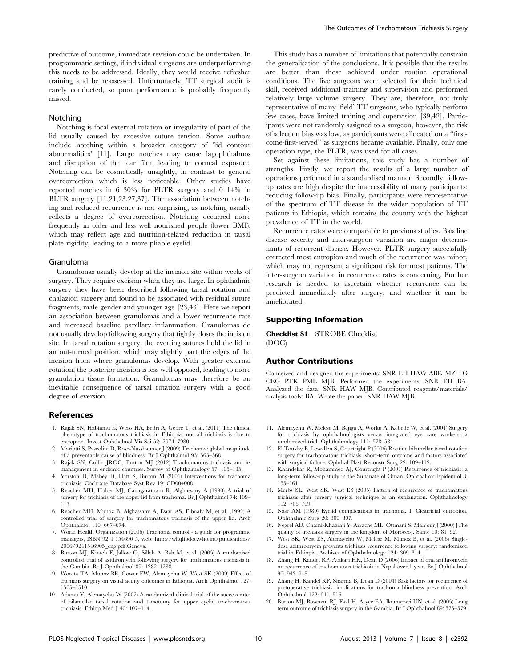predictive of outcome, immediate revision could be undertaken. In programmatic settings, if individual surgeons are underperforming this needs to be addressed. Ideally, they would receive refresher training and be reassessed. Unfortunately, TT surgical audit is rarely conducted, so poor performance is probably frequently missed.

#### Notching

Notching is focal external rotation or irregularity of part of the lid usually caused by excessive suture tension. Some authors include notching within a broader category of 'lid contour abnormalities' [11]. Large notches may cause lagophthalmos and disruption of the tear film, leading to corneal exposure. Notching can be cosmetically unsightly, in contrast to general overcorrection which is less noticeable. Other studies have reported notches in 6–30% for PLTR surgery and 0–14% in BLTR surgery [11,21,23,27,37]. The association between notching and reduced recurrence is not surprising, as notching usually reflects a degree of overcorrection. Notching occurred more frequently in older and less well nourished people (lower BMI), which may reflect age and nutrition-related reduction in tarsal plate rigidity, leading to a more pliable eyelid.

#### Granuloma

Granulomas usually develop at the incision site within weeks of surgery. They require excision when they are large. In ophthalmic surgery they have been described following tarsal rotation and chalazion surgery and found to be associated with residual suture fragments, male gender and younger age [23,43]. Here we report an association between granulomas and a lower recurrence rate and increased baseline papillary inflammation. Granulomas do not usually develop following surgery that tightly closes the incision site. In tarsal rotation surgery, the everting sutures hold the lid in an out-turned position, which may slightly part the edges of the incision from where granulomas develop. With greater external rotation, the posterior incision is less well opposed, leading to more granulation tissue formation. Granulomas may therefore be an inevitable consequence of tarsal rotation surgery with a good degree of eversion.

#### References

- 1. Rajak SN, Habtamu E, Weiss HA, Bedri A, Gebre T, et al. (2011) The clinical phenotype of trachomatous trichiasis in Ethiopia: not all trichiasis is due to entropion. Invest Ophthalmol Vis Sci 52: 7974–7980.
- 2. Mariotti S, Pascolini D, Rose-Nussbaumer J (2009) Trachoma: global magnitude of a preventable cause of blindness. Br J Ophthalmol 93: 563–568.
- 3. Rajak SN, Collin JROC, Burton MJ (2012) Trachomatous trichiasis and its management in endemic countries. Survey of Ophthalmology 57: 105–135.
- 4. Yorston D, Mabey D, Hatt S, Burton M (2006) Interventions for trachoma trichiasis. Cochrane Database Syst Rev 19: CD004008.
- 5. Reacher MH, Huber MJ, Canagaratnam R, Alghassany A (1990) A trial of surgery for trichiasis of the upper lid from trachoma. Br J Ophthalmol 74: 109– 113.
- 6. Reacher MH, Munoz B, Alghassany A, Daar AS, Elbualy M, et al. (1992) A controlled trial of surgery for trachomatous trichiasis of the upper lid. Arch Ophthalmol 110: 667–674.
- 7. World Health Organization (2006) Trachoma control a guide for programme managers, ISBN 92 4 154690 5, web: http://whqlibdoc.who.int/publications/ 2006/9241546905\_eng.pdf.Geneva.
- 8. Burton MJ, Kinteh F, Jallow O, Sillah A, Bah M, et al. (2005) A randomised controlled trial of azithromycin following surgery for trachomatous trichiasis in the Gambia. Br J Ophthalmol 89: 1282–1288.
- 9. Woreta TA, Munoz BE, Gower EW, Alemayehu W, West SK (2009) Effect of trichiasis surgery on visual acuity outcomes in Ethiopia. Arch Ophthalmol 127: 1505–1510.
- 10. Adamu Y, Alemayehu W (2002) A randomized clinical trial of the success rates of bilamellar tarsal rotation and tarsotomy for upper eyelid trachomatous trichiasis. Ethiop Med J 40: 107–114.

This study has a number of limitations that potentially constrain the generalisation of the conclusions. It is possible that the results are better than those achieved under routine operational conditions. The five surgeons were selected for their technical skill, received additional training and supervision and performed relatively large volume surgery. They are, therefore, not truly representative of many 'field' TT surgeons, who typically perform few cases, have limited training and supervision [39,42]. Participants were not randomly assigned to a surgeon, however, the risk of selection bias was low, as participants were allocated on a ''firstcome-first-served'' as surgeons became available. Finally, only one operation type, the PLTR, was used for all cases.

Set against these limitations, this study has a number of strengths. Firstly, we report the results of a large number of operations performed in a standardised manner. Secondly, followup rates are high despite the inaccessibility of many participants; reducing follow-up bias. Finally, participants were representative of the spectrum of TT disease in the wider population of TT patients in Ethiopia, which remains the country with the highest prevalence of TT in the world.

Recurrence rates were comparable to previous studies. Baseline disease severity and inter-surgeon variation are major determinants of recurrent disease. However, PLTR surgery successfully corrected most entropion and much of the recurrence was minor, which may not represent a significant risk for most patients. The inter-surgeon variation in recurrence rates is concerning. Further research is needed to ascertain whether recurrence can be predicted immediately after surgery, and whether it can be ameliorated.

#### Supporting Information

Checklist S1 STROBE Checklist. (DOC)

#### Author Contributions

Conceived and designed the experiments: SNR EH HAW ABK MZ TG CEG PTK PME MJB. Performed the experiments: SNR EH BA. Analyzed the data: SNR HAW MJB. Contributed reagents/materials/ analysis tools: BA. Wrote the paper: SNR HAW MJB.

- 11. Alemayehu W, Melese M, Bejiga A, Worku A, Kebede W, et al. (2004) Surgery for trichiasis by ophthalmologists versus integrated eye care workers: a randomized trial. Ophthalmology 111: 578–584.
- 12. El Toukhy E, Lewallen S, Courtright P (2006) Routine bilamellar tarsal rotation surgery for trachomatous trichiasis: short-term outcome and factors associated with surgical failure. Ophthal Plast Reconstr Surg 22: 109–112.
- 13. Khandekar R, Mohammed AJ, Courtright P (2001) Recurrence of trichiasis: a long-term follow-up study in the Sultanate of Oman. Ophthalmic Epidemiol 8: 155–161.
- 14. Merbs SL, West SK, West ES (2005) Pattern of recurrence of trachomatous trichiasis after surgery surgical technique as an explanation. Ophthalmology 112: 705–709.
- 15. Nasr AM (1989) Eyelid complications in trachoma. I. Cicatricial entropion. Ophthalmic Surg 20: 800–807.
- 16. Negrel AD, Chami-Khazraji Y, Arrache ML, Ottmani S, Mahjour J (2000) [The quality of trichiasis surgery in the kingdom of Morocco]. Sante 10: 81–92.
- 17. West SK, West ES, Alemayehu W, Melese M, Munoz B, et al. (2006) Singledose azithromycin prevents trichiasis recurrence following surgery: randomized trial in Ethiopia. Archives of Ophthalmology 124: 309–314.
- 18. Zhang H, Kandel RP, Atakari HK, Dean D (2006) Impact of oral azithromycin on recurrence of trachomatous trichiasis in Nepal over 1 year. Br J Ophthalmol 90: 943–948.
- 19. Zhang H, Kandel RP, Sharma B, Dean D (2004) Risk factors for recurrence of postoperative trichiasis: implications for trachoma blindness prevention. Arch Ophthalmol 122: 511–516.
- 20. Burton MJ, Bowman RJ, Faal H, Aryee EA, Ikumapayi UN, et al. (2005) Long term outcome of trichiasis surgery in the Gambia. Br J Ophthalmol 89: 575–579.